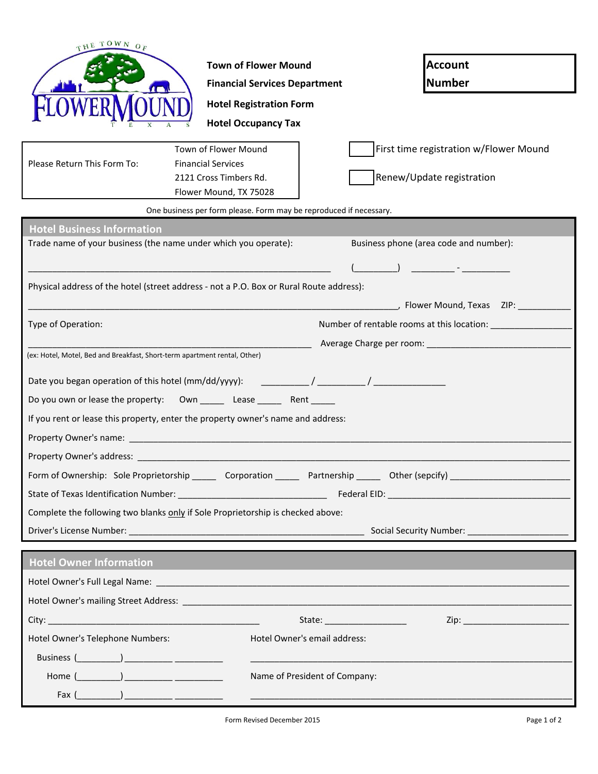| THE TOWN OF                                                                                          |                                      |                                        |  |  |
|------------------------------------------------------------------------------------------------------|--------------------------------------|----------------------------------------|--|--|
|                                                                                                      | <b>Town of Flower Mound</b>          | <b>Account</b>                         |  |  |
|                                                                                                      | <b>Financial Services Department</b> | <b>Number</b>                          |  |  |
|                                                                                                      | <b>Hotel Registration Form</b>       |                                        |  |  |
|                                                                                                      | <b>Hotel Occupancy Tax</b>           |                                        |  |  |
|                                                                                                      | Town of Flower Mound                 | First time registration w/Flower Mound |  |  |
| Please Return This Form To:                                                                          | <b>Financial Services</b>            |                                        |  |  |
|                                                                                                      | 2121 Cross Timbers Rd.               | Renew/Update registration              |  |  |
|                                                                                                      | Flower Mound, TX 75028               |                                        |  |  |
| One business per form please. Form may be reproduced if necessary.                                   |                                      |                                        |  |  |
| <b>Hotel Business Information</b><br>Trade name of your business (the name under which you operate): |                                      | Business phone (area code and number): |  |  |
|                                                                                                      |                                      |                                        |  |  |
|                                                                                                      |                                      |                                        |  |  |
| Physical address of the hotel (street address - not a P.O. Box or Rural Route address):              |                                      |                                        |  |  |
|                                                                                                      |                                      |                                        |  |  |
| Type of Operation:                                                                                   |                                      |                                        |  |  |
|                                                                                                      |                                      |                                        |  |  |
| (ex: Hotel, Motel, Bed and Breakfast, Short-term apartment rental, Other)                            |                                      |                                        |  |  |
|                                                                                                      |                                      |                                        |  |  |
| Do you own or lease the property:  Own _________ Lease _________ Rent ______                         |                                      |                                        |  |  |
| If you rent or lease this property, enter the property owner's name and address:                     |                                      |                                        |  |  |
|                                                                                                      |                                      |                                        |  |  |
|                                                                                                      |                                      |                                        |  |  |
|                                                                                                      |                                      |                                        |  |  |
|                                                                                                      |                                      |                                        |  |  |
| Complete the following two blanks only if Sole Proprietorship is checked above:                      |                                      |                                        |  |  |
|                                                                                                      |                                      |                                        |  |  |
| <b>Hotel Owner Information</b>                                                                       |                                      |                                        |  |  |
|                                                                                                      |                                      |                                        |  |  |
|                                                                                                      |                                      |                                        |  |  |
|                                                                                                      |                                      |                                        |  |  |
|                                                                                                      |                                      |                                        |  |  |
| Hotel Owner's Telephone Numbers:<br>Hotel Owner's email address:                                     |                                      |                                        |  |  |
|                                                                                                      |                                      |                                        |  |  |
| Name of President of Company:                                                                        |                                      |                                        |  |  |
| $\mathsf{Fax}~(\_\_\_\_\_\_)\_\_\_\_\_\_\_\_\_\_\_\_\_\_\_\_\_\_\_\_\_\_\_$                          |                                      |                                        |  |  |